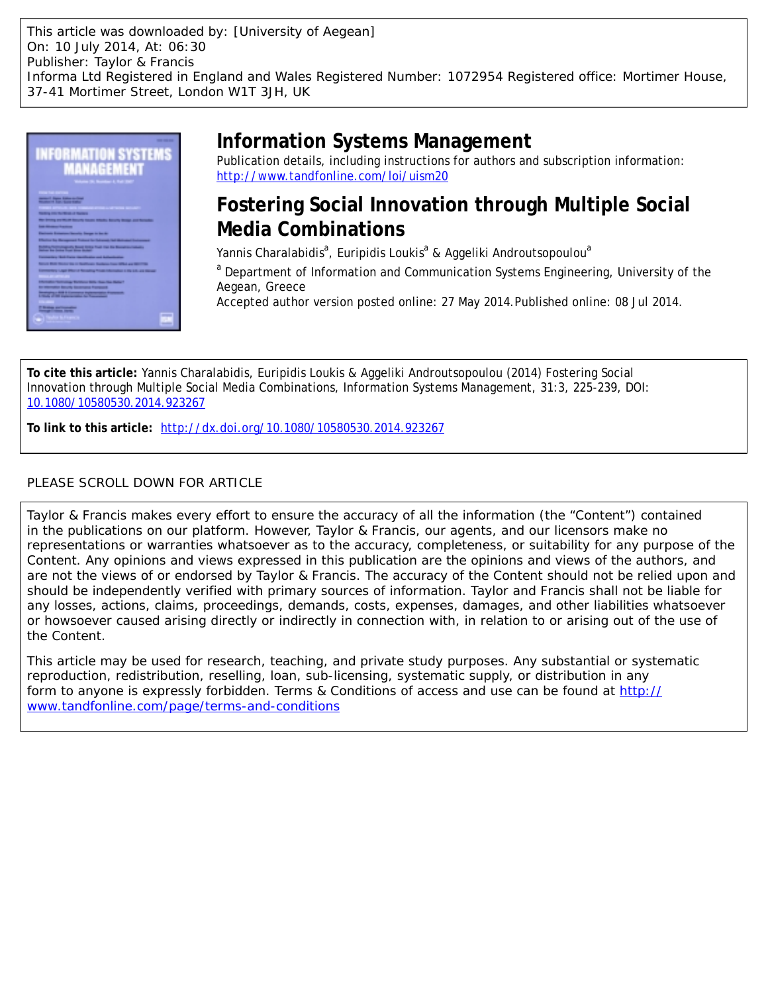This article was downloaded by: [University of Aegean] On: 10 July 2014, At: 06:30 Publisher: Taylor & Francis Informa Ltd Registered in England and Wales Registered Number: 1072954 Registered office: Mortimer House, 37-41 Mortimer Street, London W1T 3JH, UK



# **Information Systems Management**

Publication details, including instructions for authors and subscription information: <http://www.tandfonline.com/loi/uism20>

## **Fostering Social Innovation through Multiple Social Media Combinations**

Yannis Charalabidis<sup>a</sup>, Euripidis Loukis<sup>a</sup> & Aggeliki Androutsopoulou<sup>a</sup>

<sup>a</sup> Department of Information and Communication Systems Engineering, University of the Aegean, Greece

Accepted author version posted online: 27 May 2014.Published online: 08 Jul 2014.

**To cite this article:** Yannis Charalabidis, Euripidis Loukis & Aggeliki Androutsopoulou (2014) Fostering Social Innovation through Multiple Social Media Combinations, Information Systems Management, 31:3, 225-239, DOI: [10.1080/10580530.2014.923267](http://www.tandfonline.com/action/showCitFormats?doi=10.1080/10580530.2014.923267)

**To link to this article:** <http://dx.doi.org/10.1080/10580530.2014.923267>

## PLEASE SCROLL DOWN FOR ARTICLE

Taylor & Francis makes every effort to ensure the accuracy of all the information (the "Content") contained in the publications on our platform. However, Taylor & Francis, our agents, and our licensors make no representations or warranties whatsoever as to the accuracy, completeness, or suitability for any purpose of the Content. Any opinions and views expressed in this publication are the opinions and views of the authors, and are not the views of or endorsed by Taylor & Francis. The accuracy of the Content should not be relied upon and should be independently verified with primary sources of information. Taylor and Francis shall not be liable for any losses, actions, claims, proceedings, demands, costs, expenses, damages, and other liabilities whatsoever or howsoever caused arising directly or indirectly in connection with, in relation to or arising out of the use of the Content.

This article may be used for research, teaching, and private study purposes. Any substantial or systematic reproduction, redistribution, reselling, loan, sub-licensing, systematic supply, or distribution in any form to anyone is expressly forbidden. Terms & Conditions of access and use can be found at [http://](http://www.tandfonline.com/page/terms-and-conditions) [www.tandfonline.com/page/terms-and-conditions](http://www.tandfonline.com/page/terms-and-conditions)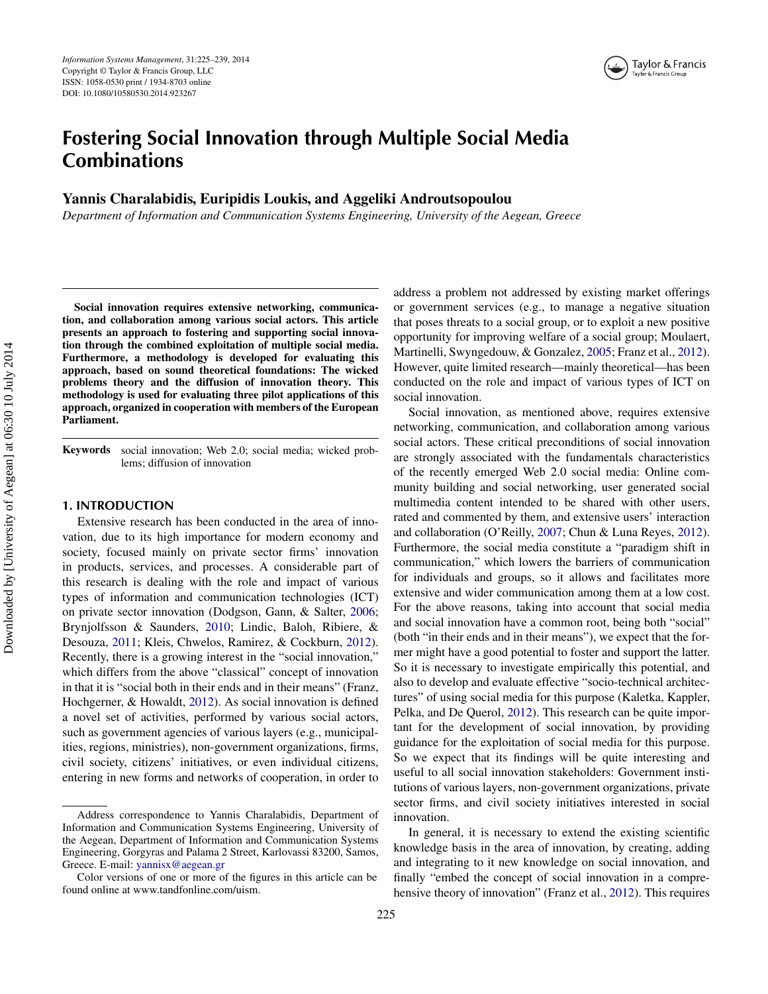## **Fostering Social Innovation through Multiple Social Media Combinations**

## **Yannis Charalabidis, Euripidis Loukis, and Aggeliki Androutsopoulou**

*Department of Information and Communication Systems Engineering, University of the Aegean, Greece*

**Social innovation requires extensive networking, communication, and collaboration among various social actors. This article presents an approach to fostering and supporting social innovation through the combined exploitation of multiple social media. Furthermore, a methodology is developed for evaluating this approach, based on sound theoretical foundations: The wicked problems theory and the diffusion of innovation theory. This methodology is used for evaluating three pilot applications of this approach, organized in cooperation with members of the European Parliament.**

**Keywords** social innovation; Web 2.0; social media; wicked problems; diffusion of innovation

#### **1. INTRODUCTION**

Extensive research has been conducted in the area of innovation, due to its high importance for modern economy and society, focused mainly on private sector firms' innovation in products, services, and processes. A considerable part of this research is dealing with the role and impact of various types of information and communication technologies (ICT) on private sector innovation (Dodgson, Gann, & Salter, [2006;](#page-14-0) Brynjolfsson & Saunders, [2010;](#page-14-1) Lindic, Baloh, Ribiere, & Desouza, [2011;](#page-15-0) Kleis, Chwelos, Ramirez, & Cockburn, [2012\)](#page-15-1). Recently, there is a growing interest in the "social innovation," which differs from the above "classical" concept of innovation in that it is "social both in their ends and in their means" (Franz, Hochgerner, & Howaldt, [2012\)](#page-14-2). As social innovation is defined a novel set of activities, performed by various social actors, such as government agencies of various layers (e.g., municipalities, regions, ministries), non-government organizations, firms, civil society, citizens' initiatives, or even individual citizens, entering in new forms and networks of cooperation, in order to

address a problem not addressed by existing market offerings or government services (e.g., to manage a negative situation that poses threats to a social group, or to exploit a new positive opportunity for improving welfare of a social group; Moulaert, Martinelli, Swyngedouw, & Gonzalez, [2005;](#page-15-2) Franz et al., [2012\)](#page-14-2). However, quite limited research—mainly theoretical—has been conducted on the role and impact of various types of ICT on social innovation.

Social innovation, as mentioned above, requires extensive networking, communication, and collaboration among various social actors. These critical preconditions of social innovation are strongly associated with the fundamentals characteristics of the recently emerged Web 2.0 social media: Online community building and social networking, user generated social multimedia content intended to be shared with other users, rated and commented by them, and extensive users' interaction and collaboration (O'Reilly, [2007;](#page-15-3) Chun & Luna Reyes, [2012\)](#page-14-3). Furthermore, the social media constitute a "paradigm shift in communication," which lowers the barriers of communication for individuals and groups, so it allows and facilitates more extensive and wider communication among them at a low cost. For the above reasons, taking into account that social media and social innovation have a common root, being both "social" (both "in their ends and in their means"), we expect that the former might have a good potential to foster and support the latter. So it is necessary to investigate empirically this potential, and also to develop and evaluate effective "socio-technical architectures" of using social media for this purpose (Kaletka, Kappler, Pelka, and De Querol, [2012\)](#page-15-4). This research can be quite important for the development of social innovation, by providing guidance for the exploitation of social media for this purpose. So we expect that its findings will be quite interesting and useful to all social innovation stakeholders: Government institutions of various layers, non-government organizations, private sector firms, and civil society initiatives interested in social innovation.

In general, it is necessary to extend the existing scientific knowledge basis in the area of innovation, by creating, adding and integrating to it new knowledge on social innovation, and finally "embed the concept of social innovation in a comprehensive theory of innovation" (Franz et al., [2012\)](#page-14-2). This requires

Address correspondence to Yannis Charalabidis, Department of Information and Communication Systems Engineering, University of the Aegean, Department of Information and Communication Systems Engineering, Gorgyras and Palama 2 Street, Karlovassi 83200, Samos, Greece. E-mail: [yannisx@aegean.gr](mailto:yannisx@aegean.gr)

Color versions of one or more of the figures in this article can be found online at [www.tandfonline.com/uism.](www.tandfonline.com/uism)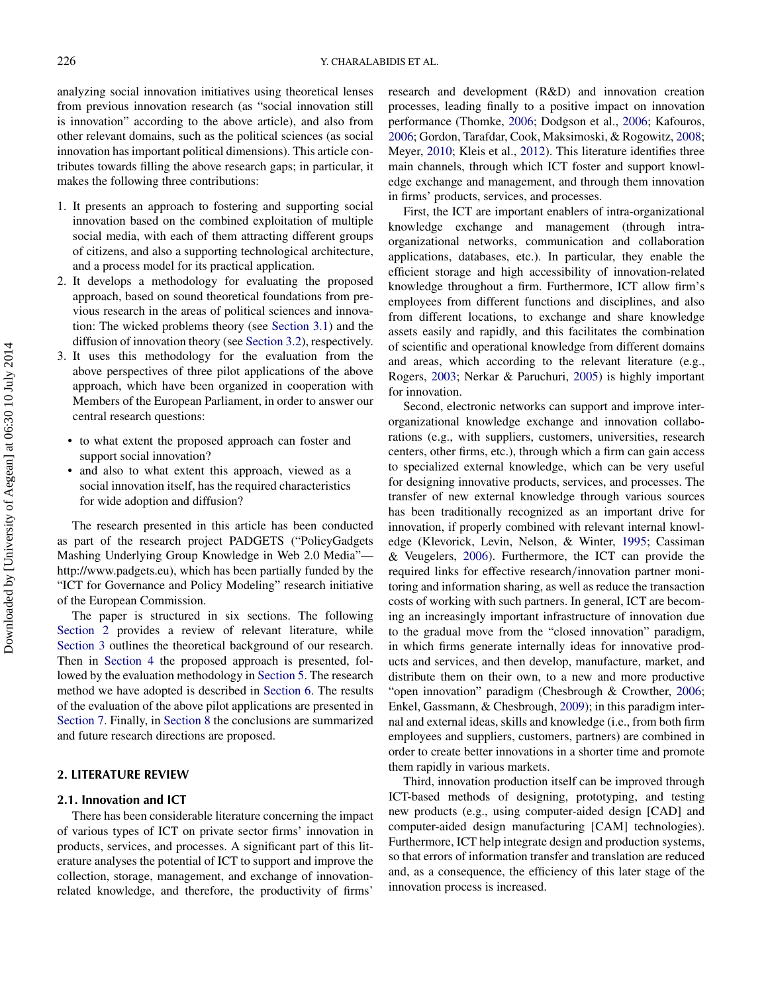analyzing social innovation initiatives using theoretical lenses from previous innovation research (as "social innovation still is innovation" according to the above article), and also from other relevant domains, such as the political sciences (as social innovation has important political dimensions). This article contributes towards filling the above research gaps; in particular, it makes the following three contributions:

- 1. It presents an approach to fostering and supporting social innovation based on the combined exploitation of multiple social media, with each of them attracting different groups of citizens, and also a supporting technological architecture, and a process model for its practical application.
- 2. It develops a methodology for evaluating the proposed approach, based on sound theoretical foundations from previous research in the areas of political sciences and innovation: The wicked problems theory (see [Section 3.1\)](#page-4-0) and the diffusion of innovation theory (see [Section 3.2\)](#page-5-0), respectively.
- 3. It uses this methodology for the evaluation from the above perspectives of three pilot applications of the above approach, which have been organized in cooperation with Members of the European Parliament, in order to answer our central research questions:
	- to what extent the proposed approach can foster and support social innovation?
	- and also to what extent this approach, viewed as a social innovation itself, has the required characteristics for wide adoption and diffusion?

The research presented in this article has been conducted as part of the research project PADGETS ("PolicyGadgets Mashing Underlying Group Knowledge in Web 2.0 Media" [http://www.padgets.eu\),](http://www.padgets.eu) which has been partially funded by the "ICT for Governance and Policy Modeling" research initiative of the European Commission.

The paper is structured in six sections. The following [Section 2](#page-2-0) provides a review of relevant literature, while [Section 3](#page-4-1) outlines the theoretical background of our research. Then in [Section 4](#page-5-1) the proposed approach is presented, followed by the evaluation methodology in [Section 5.](#page-7-0) The research method we have adopted is described in [Section 6.](#page-7-1) The results of the evaluation of the above pilot applications are presented in [Section 7.](#page-9-0) Finally, in [Section 8](#page-13-0) the conclusions are summarized and future research directions are proposed.

#### <span id="page-2-0"></span>**2. LITERATURE REVIEW**

## **2.1. Innovation and ICT**

<span id="page-2-1"></span>There has been considerable literature concerning the impact of various types of ICT on private sector firms' innovation in products, services, and processes. A significant part of this literature analyses the potential of ICT to support and improve the collection, storage, management, and exchange of innovationrelated knowledge, and therefore, the productivity of firms'

research and development (R&D) and innovation creation processes, leading finally to a positive impact on innovation performance (Thomke, [2006;](#page-15-5) Dodgson et al., [2006;](#page-14-0) Kafouros, [2006;](#page-15-6) Gordon, Tarafdar, Cook, Maksimoski, & Rogowitz, [2008;](#page-15-7) Meyer, [2010;](#page-15-8) Kleis et al., [2012\)](#page-15-1). This literature identifies three main channels, through which ICT foster and support knowledge exchange and management, and through them innovation in firms' products, services, and processes.

First, the ICT are important enablers of intra-organizational knowledge exchange and management (through intraorganizational networks, communication and collaboration applications, databases, etc.). In particular, they enable the efficient storage and high accessibility of innovation-related knowledge throughout a firm. Furthermore, ICT allow firm's employees from different functions and disciplines, and also from different locations, to exchange and share knowledge assets easily and rapidly, and this facilitates the combination of scientific and operational knowledge from different domains and areas, which according to the relevant literature (e.g., Rogers, [2003;](#page-15-9) Nerkar & Paruchuri, [2005\)](#page-15-10) is highly important for innovation.

Second, electronic networks can support and improve interorganizational knowledge exchange and innovation collaborations (e.g., with suppliers, customers, universities, research centers, other firms, etc.), through which a firm can gain access to specialized external knowledge, which can be very useful for designing innovative products, services, and processes. The transfer of new external knowledge through various sources has been traditionally recognized as an important drive for innovation, if properly combined with relevant internal knowledge (Klevorick, Levin, Nelson, & Winter, [1995;](#page-15-11) Cassiman & Veugelers, [2006\)](#page-14-4). Furthermore, the ICT can provide the required links for effective research*/*innovation partner monitoring and information sharing, as well as reduce the transaction costs of working with such partners. In general, ICT are becoming an increasingly important infrastructure of innovation due to the gradual move from the "closed innovation" paradigm, in which firms generate internally ideas for innovative products and services, and then develop, manufacture, market, and distribute them on their own, to a new and more productive "open innovation" paradigm (Chesbrough & Crowther, [2006;](#page-14-5) Enkel, Gassmann, & Chesbrough, [2009\)](#page-14-6); in this paradigm internal and external ideas, skills and knowledge (i.e., from both firm employees and suppliers, customers, partners) are combined in order to create better innovations in a shorter time and promote them rapidly in various markets.

Third, innovation production itself can be improved through ICT-based methods of designing, prototyping, and testing new products (e.g., using computer-aided design [CAD] and computer-aided design manufacturing [CAM] technologies). Furthermore, ICT help integrate design and production systems, so that errors of information transfer and translation are reduced and, as a consequence, the efficiency of this later stage of the innovation process is increased.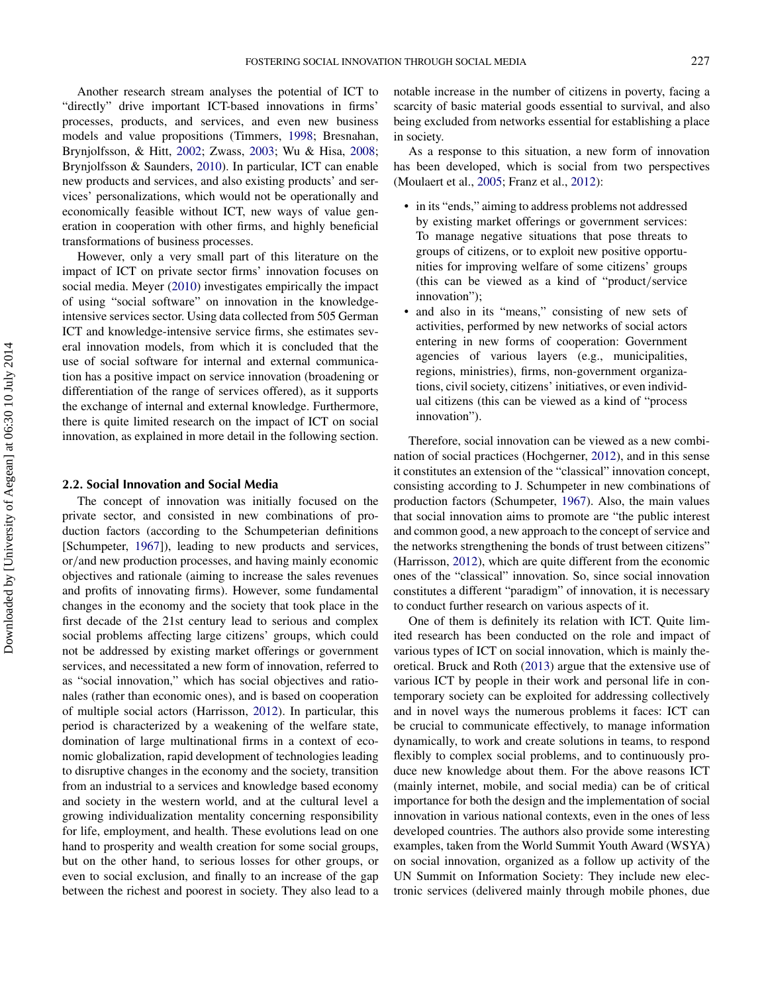Another research stream analyses the potential of ICT to "directly" drive important ICT-based innovations in firms' processes, products, and services, and even new business models and value propositions (Timmers, [1998;](#page-15-12) Bresnahan, Brynjolfsson, & Hitt, [2002;](#page-14-7) Zwass, [2003;](#page-15-13) Wu & Hisa, [2008;](#page-15-14) Brynjolfsson & Saunders, [2010\)](#page-14-1). In particular, ICT can enable new products and services, and also existing products' and services' personalizations, which would not be operationally and economically feasible without ICT, new ways of value generation in cooperation with other firms, and highly beneficial transformations of business processes.

However, only a very small part of this literature on the impact of ICT on private sector firms' innovation focuses on social media. Meyer [\(2010\)](#page-15-8) investigates empirically the impact of using "social software" on innovation in the knowledgeintensive services sector. Using data collected from 505 German ICT and knowledge-intensive service firms, she estimates several innovation models, from which it is concluded that the use of social software for internal and external communication has a positive impact on service innovation (broadening or differentiation of the range of services offered), as it supports the exchange of internal and external knowledge. Furthermore, there is quite limited research on the impact of ICT on social innovation, as explained in more detail in the following section.

#### **2.2. Social Innovation and Social Media**

The concept of innovation was initially focused on the private sector, and consisted in new combinations of production factors (according to the Schumpeterian definitions [Schumpeter, [1967\]](#page-15-15)), leading to new products and services, or*/*and new production processes, and having mainly economic objectives and rationale (aiming to increase the sales revenues and profits of innovating firms). However, some fundamental changes in the economy and the society that took place in the first decade of the 21st century lead to serious and complex social problems affecting large citizens' groups, which could not be addressed by existing market offerings or government services, and necessitated a new form of innovation, referred to as "social innovation," which has social objectives and rationales (rather than economic ones), and is based on cooperation of multiple social actors (Harrisson, [2012\)](#page-15-16). In particular, this period is characterized by a weakening of the welfare state, domination of large multinational firms in a context of economic globalization, rapid development of technologies leading to disruptive changes in the economy and the society, transition from an industrial to a services and knowledge based economy and society in the western world, and at the cultural level a growing individualization mentality concerning responsibility for life, employment, and health. These evolutions lead on one hand to prosperity and wealth creation for some social groups, but on the other hand, to serious losses for other groups, or even to social exclusion, and finally to an increase of the gap between the richest and poorest in society. They also lead to a notable increase in the number of citizens in poverty, facing a scarcity of basic material goods essential to survival, and also being excluded from networks essential for establishing a place in society.

As a response to this situation, a new form of innovation has been developed, which is social from two perspectives (Moulaert et al., [2005;](#page-15-2) Franz et al., [2012\)](#page-14-2):

- in its "ends," aiming to address problems not addressed by existing market offerings or government services: To manage negative situations that pose threats to groups of citizens, or to exploit new positive opportunities for improving welfare of some citizens' groups (this can be viewed as a kind of "product*/*service innovation");
- and also in its "means," consisting of new sets of activities, performed by new networks of social actors entering in new forms of cooperation: Government agencies of various layers (e.g., municipalities, regions, ministries), firms, non-government organizations, civil society, citizens' initiatives, or even individual citizens (this can be viewed as a kind of "process innovation").

<span id="page-3-0"></span>Therefore, social innovation can be viewed as a new combination of social practices (Hochgerner, [2012\)](#page-15-17), and in this sense it constitutes an extension of the "classical" innovation concept, consisting according to J. Schumpeter in new combinations of production factors (Schumpeter, [1967\)](#page-15-15). Also, the main values that social innovation aims to promote are "the public interest and common good, a new approach to the concept of service and the networks strengthening the bonds of trust between citizens" (Harrisson, [2012\)](#page-15-16), which are quite different from the economic ones of the "classical" innovation. So, since social innovation constitutes a different "paradigm" of innovation, it is necessary to conduct further research on various aspects of it.

One of them is definitely its relation with ICT. Quite limited research has been conducted on the role and impact of various types of ICT on social innovation, which is mainly theoretical. Bruck and Roth [\(2013\)](#page-14-8) argue that the extensive use of various ICT by people in their work and personal life in contemporary society can be exploited for addressing collectively and in novel ways the numerous problems it faces: ICT can be crucial to communicate effectively, to manage information dynamically, to work and create solutions in teams, to respond flexibly to complex social problems, and to continuously produce new knowledge about them. For the above reasons ICT (mainly internet, mobile, and social media) can be of critical importance for both the design and the implementation of social innovation in various national contexts, even in the ones of less developed countries. The authors also provide some interesting examples, taken from the World Summit Youth Award (WSYA) on social innovation, organized as a follow up activity of the UN Summit on Information Society: They include new electronic services (delivered mainly through mobile phones, due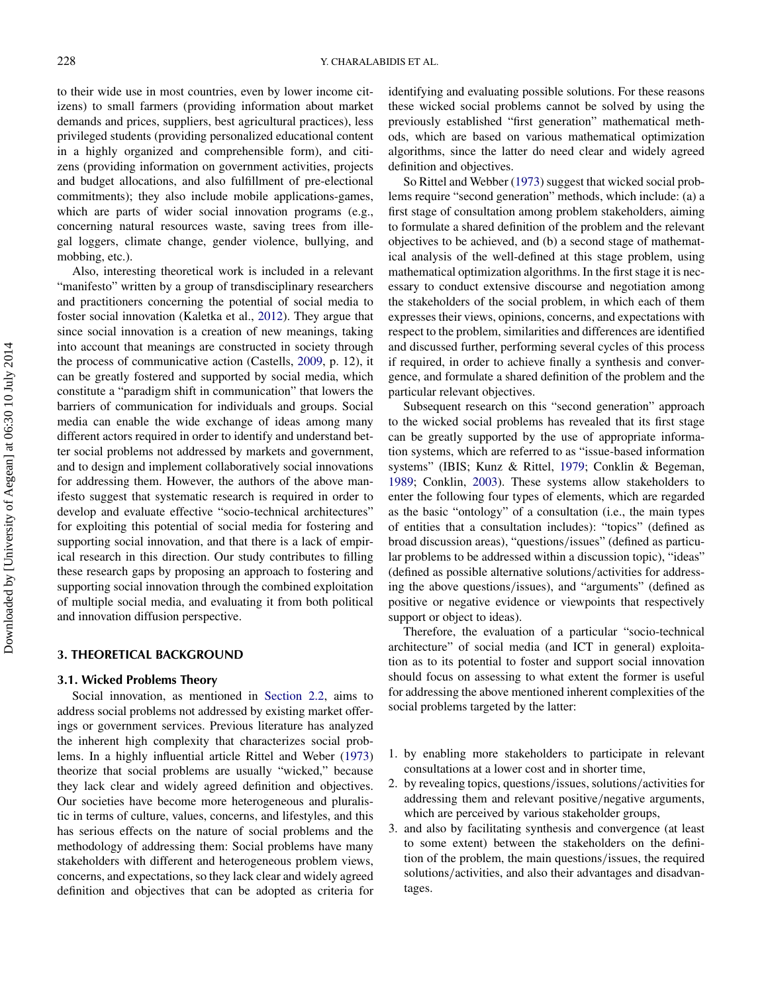to their wide use in most countries, even by lower income citizens) to small farmers (providing information about market demands and prices, suppliers, best agricultural practices), less privileged students (providing personalized educational content in a highly organized and comprehensible form), and citizens (providing information on government activities, projects and budget allocations, and also fulfillment of pre-electional commitments); they also include mobile applications-games, which are parts of wider social innovation programs (e.g., concerning natural resources waste, saving trees from illegal loggers, climate change, gender violence, bullying, and mobbing, etc.).

Also, interesting theoretical work is included in a relevant "manifesto" written by a group of transdisciplinary researchers and practitioners concerning the potential of social media to foster social innovation (Kaletka et al., [2012\)](#page-15-4). They argue that since social innovation is a creation of new meanings, taking into account that meanings are constructed in society through the process of communicative action (Castells, [2009,](#page-14-9) p. 12), it can be greatly fostered and supported by social media, which constitute a "paradigm shift in communication" that lowers the barriers of communication for individuals and groups. Social media can enable the wide exchange of ideas among many different actors required in order to identify and understand better social problems not addressed by markets and government, and to design and implement collaboratively social innovations for addressing them. However, the authors of the above manifesto suggest that systematic research is required in order to develop and evaluate effective "socio-technical architectures" for exploiting this potential of social media for fostering and supporting social innovation, and that there is a lack of empirical research in this direction. Our study contributes to filling these research gaps by proposing an approach to fostering and supporting social innovation through the combined exploitation of multiple social media, and evaluating it from both political and innovation diffusion perspective.

## **3. THEORETICAL BACKGROUND**

#### **3.1. Wicked Problems Theory**

<span id="page-4-0"></span>Social innovation, as mentioned in [Section 2.2,](#page-3-0) aims to address social problems not addressed by existing market offerings or government services. Previous literature has analyzed the inherent high complexity that characterizes social problems. In a highly influential article Rittel and Weber [\(1973\)](#page-15-18) theorize that social problems are usually "wicked," because they lack clear and widely agreed definition and objectives. Our societies have become more heterogeneous and pluralistic in terms of culture, values, concerns, and lifestyles, and this has serious effects on the nature of social problems and the methodology of addressing them: Social problems have many stakeholders with different and heterogeneous problem views, concerns, and expectations, so they lack clear and widely agreed definition and objectives that can be adopted as criteria for identifying and evaluating possible solutions. For these reasons these wicked social problems cannot be solved by using the previously established "first generation" mathematical methods, which are based on various mathematical optimization algorithms, since the latter do need clear and widely agreed definition and objectives.

So Rittel and Webber [\(1973\)](#page-15-18) suggest that wicked social problems require "second generation" methods, which include: (a) a first stage of consultation among problem stakeholders, aiming to formulate a shared definition of the problem and the relevant objectives to be achieved, and (b) a second stage of mathematical analysis of the well-defined at this stage problem, using mathematical optimization algorithms. In the first stage it is necessary to conduct extensive discourse and negotiation among the stakeholders of the social problem, in which each of them expresses their views, opinions, concerns, and expectations with respect to the problem, similarities and differences are identified and discussed further, performing several cycles of this process if required, in order to achieve finally a synthesis and convergence, and formulate a shared definition of the problem and the particular relevant objectives.

Subsequent research on this "second generation" approach to the wicked social problems has revealed that its first stage can be greatly supported by the use of appropriate information systems, which are referred to as "issue-based information systems" (IBIS; Kunz & Rittel, [1979;](#page-15-19) Conklin & Begeman, [1989;](#page-14-10) Conklin, [2003\)](#page-14-11). These systems allow stakeholders to enter the following four types of elements, which are regarded as the basic "ontology" of a consultation (i.e., the main types of entities that a consultation includes): "topics" (defined as broad discussion areas), "questions*/*issues" (defined as particular problems to be addressed within a discussion topic), "ideas" (defined as possible alternative solutions*/*activities for addressing the above questions*/*issues), and "arguments" (defined as positive or negative evidence or viewpoints that respectively support or object to ideas).

<span id="page-4-1"></span>Therefore, the evaluation of a particular "socio-technical architecture" of social media (and ICT in general) exploitation as to its potential to foster and support social innovation should focus on assessing to what extent the former is useful for addressing the above mentioned inherent complexities of the social problems targeted by the latter:

- 1. by enabling more stakeholders to participate in relevant consultations at a lower cost and in shorter time,
- 2. by revealing topics, questions*/*issues, solutions*/*activities for addressing them and relevant positive*/*negative arguments, which are perceived by various stakeholder groups,
- 3. and also by facilitating synthesis and convergence (at least to some extent) between the stakeholders on the definition of the problem, the main questions*/*issues, the required solutions*/*activities, and also their advantages and disadvantages.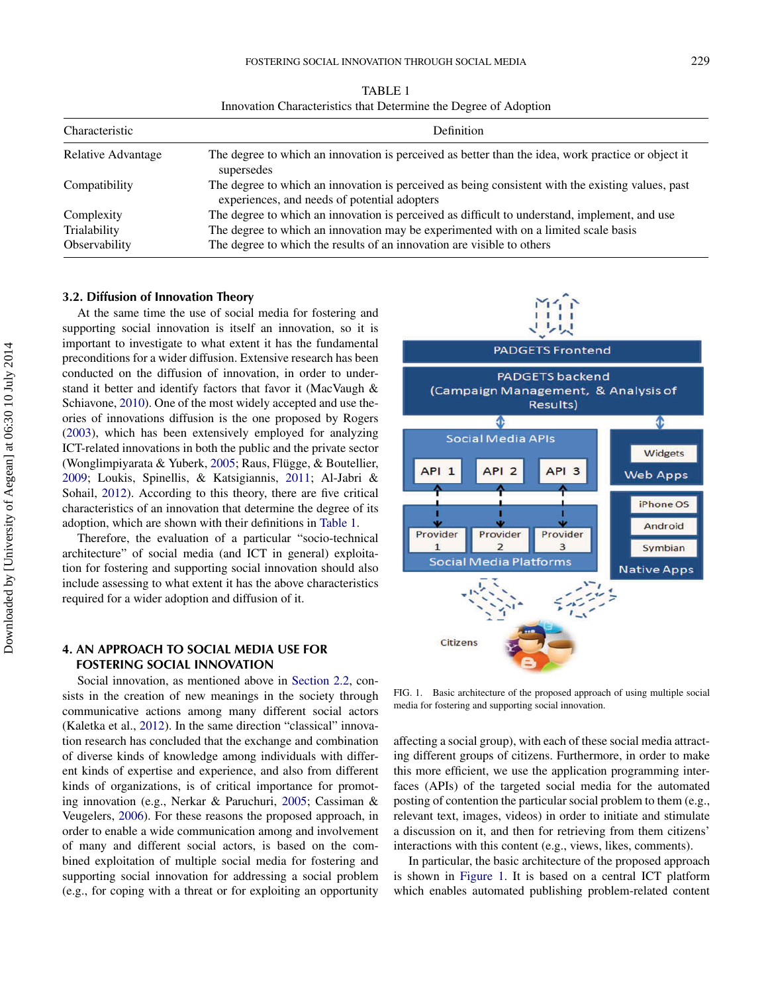| TABLE 1                                                          |  |
|------------------------------------------------------------------|--|
| Innovation Characteristics that Determine the Degree of Adoption |  |

| Characteristic     | Definition                                                                                                                                        |
|--------------------|---------------------------------------------------------------------------------------------------------------------------------------------------|
| Relative Advantage | The degree to which an innovation is perceived as better than the idea, work practice or object it<br>supersedes                                  |
| Compatibility      | The degree to which an innovation is perceived as being consistent with the existing values, past<br>experiences, and needs of potential adopters |
| Complexity         | The degree to which an innovation is perceived as difficult to understand, implement, and use                                                     |
| Trialability       | The degree to which an innovation may be experimented with on a limited scale basis                                                               |
| Observability      | The degree to which the results of an innovation are visible to others                                                                            |

#### **3.2. Diffusion of Innovation Theory**

At the same time the use of social media for fostering and supporting social innovation is itself an innovation, so it is important to investigate to what extent it has the fundamental preconditions for a wider diffusion. Extensive research has been conducted on the diffusion of innovation, in order to understand it better and identify factors that favor it (MacVaugh & Schiavone, [2010\)](#page-15-20). One of the most widely accepted and use theories of innovations diffusion is the one proposed by Rogers [\(2003\)](#page-15-9), which has been extensively employed for analyzing ICT-related innovations in both the public and the private sector (Wonglimpiyarata & Yuberk, [2005;](#page-15-21) Raus, Flügge, & Boutellier, [2009;](#page-15-22) Loukis, Spinellis, & Katsigiannis, [2011;](#page-15-23) Al-Jabri & Sohail, [2012\)](#page-14-12). According to this theory, there are five critical characteristics of an innovation that determine the degree of its adoption, which are shown with their definitions in [Table 1.](#page-5-2)

Therefore, the evaluation of a particular "socio-technical architecture" of social media (and ICT in general) exploitation for fostering and supporting social innovation should also include assessing to what extent it has the above characteristics required for a wider adoption and diffusion of it.

## **4. AN APPROACH TO SOCIAL MEDIA USE FOR FOSTERING SOCIAL INNOVATION**

Social innovation, as mentioned above in [Section 2.2,](#page-3-0) consists in the creation of new meanings in the society through communicative actions among many different social actors (Kaletka et al., [2012\)](#page-15-4). In the same direction "classical" innovation research has concluded that the exchange and combination of diverse kinds of knowledge among individuals with different kinds of expertise and experience, and also from different kinds of organizations, is of critical importance for promoting innovation (e.g., Nerkar & Paruchuri, [2005;](#page-15-10) Cassiman & Veugelers, [2006\)](#page-14-4). For these reasons the proposed approach, in order to enable a wide communication among and involvement of many and different social actors, is based on the combined exploitation of multiple social media for fostering and supporting social innovation for addressing a social problem (e.g., for coping with a threat or for exploiting an opportunity

<span id="page-5-3"></span><span id="page-5-2"></span><span id="page-5-0"></span>

<span id="page-5-1"></span>FIG. 1. Basic architecture of the proposed approach of using multiple social media for fostering and supporting social innovation.

affecting a social group), with each of these social media attracting different groups of citizens. Furthermore, in order to make this more efficient, we use the application programming interfaces (APIs) of the targeted social media for the automated posting of contention the particular social problem to them (e.g., relevant text, images, videos) in order to initiate and stimulate a discussion on it, and then for retrieving from them citizens' interactions with this content (e.g., views, likes, comments).

In particular, the basic architecture of the proposed approach is shown in [Figure 1.](#page-5-3) It is based on a central ICT platform which enables automated publishing problem-related content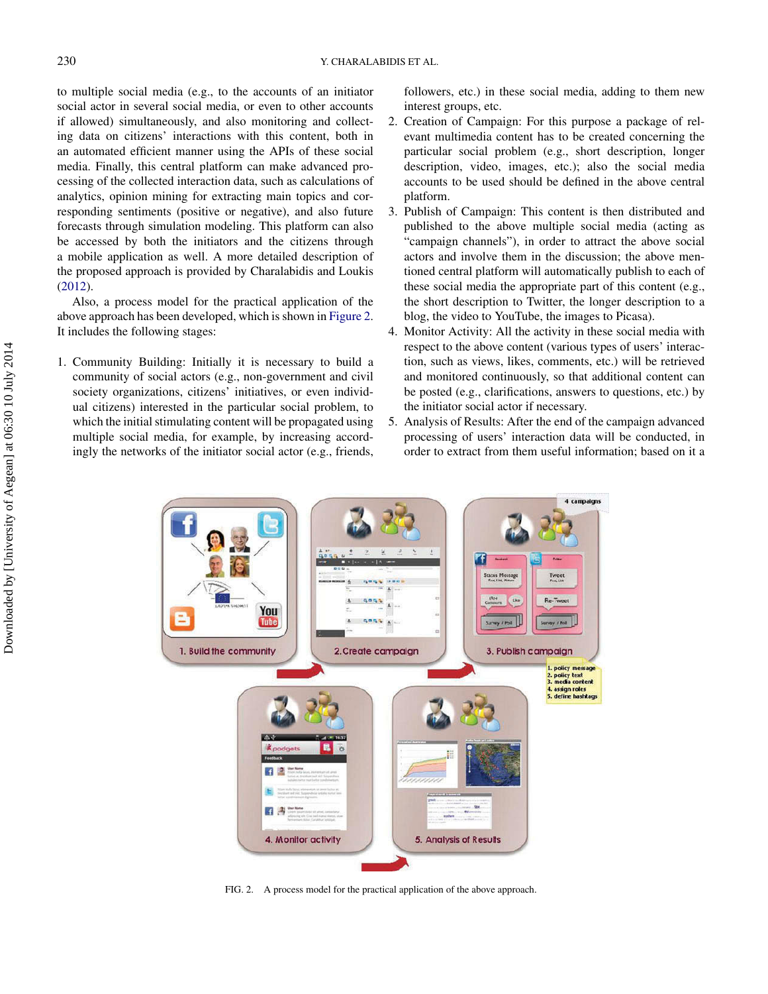to multiple social media (e.g., to the accounts of an initiator social actor in several social media, or even to other accounts if allowed) simultaneously, and also monitoring and collecting data on citizens' interactions with this content, both in an automated efficient manner using the APIs of these social media. Finally, this central platform can make advanced processing of the collected interaction data, such as calculations of analytics, opinion mining for extracting main topics and corresponding sentiments (positive or negative), and also future forecasts through simulation modeling. This platform can also be accessed by both the initiators and the citizens through a mobile application as well. A more detailed description of the proposed approach is provided by Charalabidis and Loukis [\(2012\)](#page-14-13).

Also, a process model for the practical application of the above approach has been developed, which is shown in [Figure 2.](#page-6-0) It includes the following stages:

1. Community Building: Initially it is necessary to build a community of social actors (e.g., non-government and civil society organizations, citizens' initiatives, or even individual citizens) interested in the particular social problem, to which the initial stimulating content will be propagated using multiple social media, for example, by increasing accordingly the networks of the initiator social actor (e.g., friends, followers, etc.) in these social media, adding to them new interest groups, etc.

- 2. Creation of Campaign: For this purpose a package of relevant multimedia content has to be created concerning the particular social problem (e.g., short description, longer description, video, images, etc.); also the social media accounts to be used should be defined in the above central platform.
- 3. Publish of Campaign: This content is then distributed and published to the above multiple social media (acting as "campaign channels"), in order to attract the above social actors and involve them in the discussion; the above mentioned central platform will automatically publish to each of these social media the appropriate part of this content (e.g., the short description to Twitter, the longer description to a blog, the video to YouTube, the images to Picasa).
- 4. Monitor Activity: All the activity in these social media with respect to the above content (various types of users' interaction, such as views, likes, comments, etc.) will be retrieved and monitored continuously, so that additional content can be posted (e.g., clarifications, answers to questions, etc.) by the initiator social actor if necessary.
- 5. Analysis of Results: After the end of the campaign advanced processing of users' interaction data will be conducted, in order to extract from them useful information; based on it a

<span id="page-6-0"></span>

FIG. 2. A process model for the practical application of the above approach.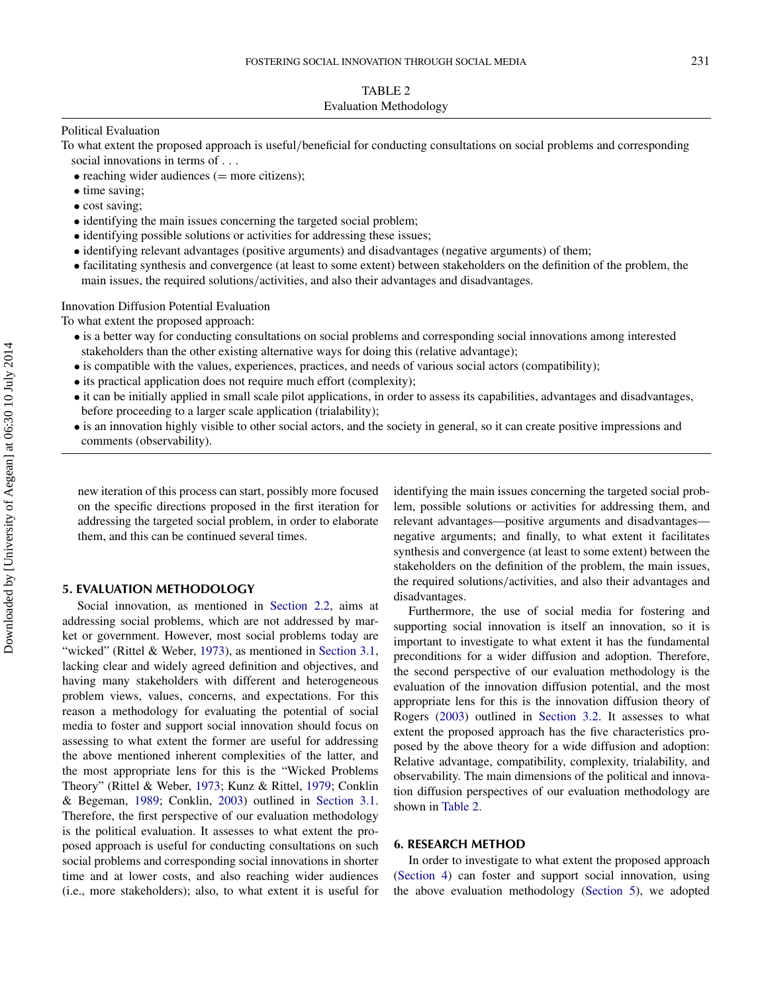## Political Evaluation

To what extent the proposed approach is useful*/*beneficial for conducting consultations on social problems and corresponding social innovations in terms of *...*

- reaching wider audiences  $(=$  more citizens);
- time saving;
- cost saving;
- identifying the main issues concerning the targeted social problem;
- identifying possible solutions or activities for addressing these issues;
- identifying relevant advantages (positive arguments) and disadvantages (negative arguments) of them;
- facilitating synthesis and convergence (at least to some extent) between stakeholders on the definition of the problem, the main issues, the required solutions*/*activities, and also their advantages and disadvantages.

Innovation Diffusion Potential Evaluation

To what extent the proposed approach:

- is a better way for conducting consultations on social problems and corresponding social innovations among interested stakeholders than the other existing alternative ways for doing this (relative advantage);
- is compatible with the values, experiences, practices, and needs of various social actors (compatibility);
- its practical application does not require much effort (complexity);
- it can be initially applied in small scale pilot applications, in order to assess its capabilities, advantages and disadvantages, before proceeding to a larger scale application (trialability);
- is an innovation highly visible to other social actors, and the society in general, so it can create positive impressions and comments (observability).

new iteration of this process can start, possibly more focused on the specific directions proposed in the first iteration for addressing the targeted social problem, in order to elaborate them, and this can be continued several times.

## **5. EVALUATION METHODOLOGY**

Social innovation, as mentioned in [Section 2.2,](#page-3-0) aims at addressing social problems, which are not addressed by market or government. However, most social problems today are "wicked" (Rittel & Weber, [1973\)](#page-15-18), as mentioned in [Section 3.1,](#page-4-0) lacking clear and widely agreed definition and objectives, and having many stakeholders with different and heterogeneous problem views, values, concerns, and expectations. For this reason a methodology for evaluating the potential of social media to foster and support social innovation should focus on assessing to what extent the former are useful for addressing the above mentioned inherent complexities of the latter, and the most appropriate lens for this is the "Wicked Problems Theory" (Rittel & Weber, [1973;](#page-15-18) Kunz & Rittel, [1979;](#page-15-19) Conklin & Begeman, [1989;](#page-14-10) Conklin, [2003\)](#page-14-11) outlined in [Section 3.1.](#page-4-0) Therefore, the first perspective of our evaluation methodology is the political evaluation. It assesses to what extent the proposed approach is useful for conducting consultations on such social problems and corresponding social innovations in shorter time and at lower costs, and also reaching wider audiences (i.e., more stakeholders); also, to what extent it is useful for <span id="page-7-2"></span>identifying the main issues concerning the targeted social problem, possible solutions or activities for addressing them, and relevant advantages—positive arguments and disadvantages negative arguments; and finally, to what extent it facilitates synthesis and convergence (at least to some extent) between the stakeholders on the definition of the problem, the main issues, the required solutions*/*activities, and also their advantages and disadvantages.

<span id="page-7-0"></span>Furthermore, the use of social media for fostering and supporting social innovation is itself an innovation, so it is important to investigate to what extent it has the fundamental preconditions for a wider diffusion and adoption. Therefore, the second perspective of our evaluation methodology is the evaluation of the innovation diffusion potential, and the most appropriate lens for this is the innovation diffusion theory of Rogers [\(2003\)](#page-15-9) outlined in [Section 3.2.](#page-5-0) It assesses to what extent the proposed approach has the five characteristics proposed by the above theory for a wide diffusion and adoption: Relative advantage, compatibility, complexity, trialability, and observability. The main dimensions of the political and innovation diffusion perspectives of our evaluation methodology are shown in [Table 2.](#page-7-2)

### **6. RESEARCH METHOD**

<span id="page-7-1"></span>In order to investigate to what extent the proposed approach [\(Section 4\)](#page-5-1) can foster and support social innovation, using the above evaluation methodology [\(Section 5\)](#page-7-0), we adopted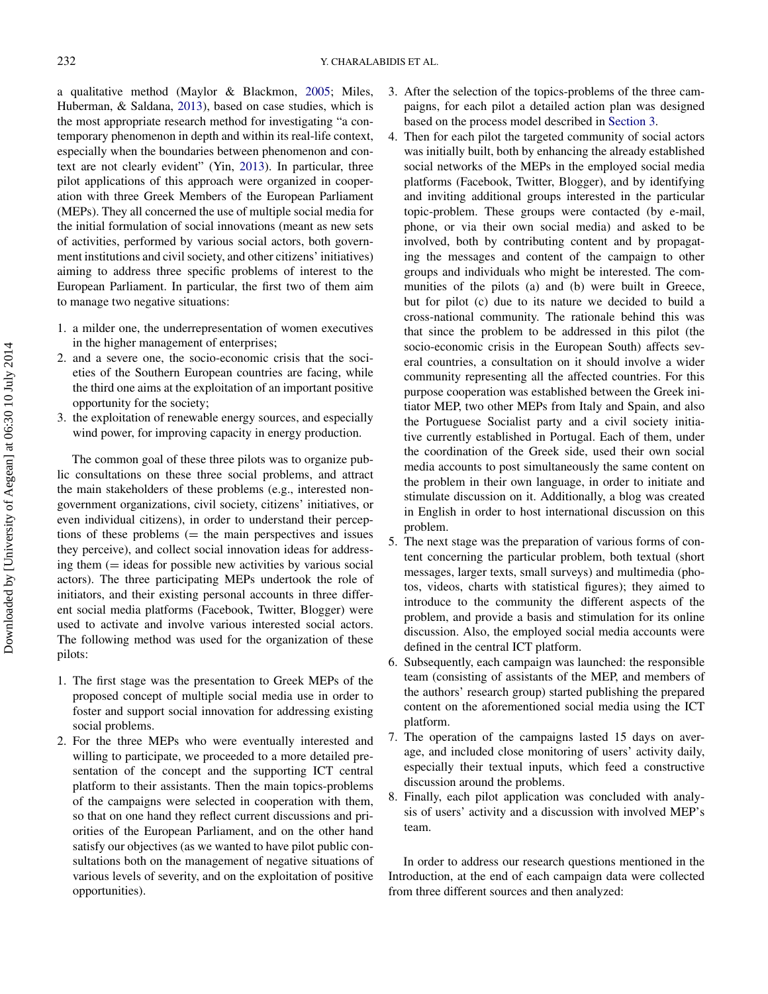a qualitative method (Maylor & Blackmon, [2005;](#page-15-24) Miles, Huberman, & Saldana, [2013\)](#page-15-25), based on case studies, which is the most appropriate research method for investigating "a contemporary phenomenon in depth and within its real-life context, especially when the boundaries between phenomenon and context are not clearly evident" (Yin, [2013\)](#page-15-26). In particular, three pilot applications of this approach were organized in cooperation with three Greek Members of the European Parliament (MEPs). They all concerned the use of multiple social media for the initial formulation of social innovations (meant as new sets of activities, performed by various social actors, both government institutions and civil society, and other citizens' initiatives) aiming to address three specific problems of interest to the European Parliament. In particular, the first two of them aim to manage two negative situations:

- 1. a milder one, the underrepresentation of women executives in the higher management of enterprises;
- 2. and a severe one, the socio-economic crisis that the societies of the Southern European countries are facing, while the third one aims at the exploitation of an important positive opportunity for the society;
- 3. the exploitation of renewable energy sources, and especially wind power, for improving capacity in energy production.

The common goal of these three pilots was to organize public consultations on these three social problems, and attract the main stakeholders of these problems (e.g., interested nongovernment organizations, civil society, citizens' initiatives, or even individual citizens), in order to understand their perceptions of these problems  $($  = the main perspectives and issues they perceive), and collect social innovation ideas for addressing them  $($  = ideas for possible new activities by various social actors). The three participating MEPs undertook the role of initiators, and their existing personal accounts in three different social media platforms (Facebook, Twitter, Blogger) were used to activate and involve various interested social actors. The following method was used for the organization of these pilots:

- 1. The first stage was the presentation to Greek MEPs of the proposed concept of multiple social media use in order to foster and support social innovation for addressing existing social problems.
- 2. For the three MEPs who were eventually interested and willing to participate, we proceeded to a more detailed presentation of the concept and the supporting ICT central platform to their assistants. Then the main topics-problems of the campaigns were selected in cooperation with them, so that on one hand they reflect current discussions and priorities of the European Parliament, and on the other hand satisfy our objectives (as we wanted to have pilot public consultations both on the management of negative situations of various levels of severity, and on the exploitation of positive opportunities).
- 3. After the selection of the topics-problems of the three campaigns, for each pilot a detailed action plan was designed based on the process model described in [Section 3.](#page-4-1)
- 4. Then for each pilot the targeted community of social actors was initially built, both by enhancing the already established social networks of the MEPs in the employed social media platforms (Facebook, Twitter, Blogger), and by identifying and inviting additional groups interested in the particular topic-problem. These groups were contacted (by e-mail, phone, or via their own social media) and asked to be involved, both by contributing content and by propagating the messages and content of the campaign to other groups and individuals who might be interested. The communities of the pilots (a) and (b) were built in Greece, but for pilot (c) due to its nature we decided to build a cross-national community. The rationale behind this was that since the problem to be addressed in this pilot (the socio-economic crisis in the European South) affects several countries, a consultation on it should involve a wider community representing all the affected countries. For this purpose cooperation was established between the Greek initiator MEP, two other MEPs from Italy and Spain, and also the Portuguese Socialist party and a civil society initiative currently established in Portugal. Each of them, under the coordination of the Greek side, used their own social media accounts to post simultaneously the same content on the problem in their own language, in order to initiate and stimulate discussion on it. Additionally, a blog was created in English in order to host international discussion on this problem.
- 5. The next stage was the preparation of various forms of content concerning the particular problem, both textual (short messages, larger texts, small surveys) and multimedia (photos, videos, charts with statistical figures); they aimed to introduce to the community the different aspects of the problem, and provide a basis and stimulation for its online discussion. Also, the employed social media accounts were defined in the central ICT platform.
- 6. Subsequently, each campaign was launched: the responsible team (consisting of assistants of the MEP, and members of the authors' research group) started publishing the prepared content on the aforementioned social media using the ICT platform.
- 7. The operation of the campaigns lasted 15 days on average, and included close monitoring of users' activity daily, especially their textual inputs, which feed a constructive discussion around the problems.
- 8. Finally, each pilot application was concluded with analysis of users' activity and a discussion with involved MEP's team.

In order to address our research questions mentioned in the Introduction, at the end of each campaign data were collected from three different sources and then analyzed: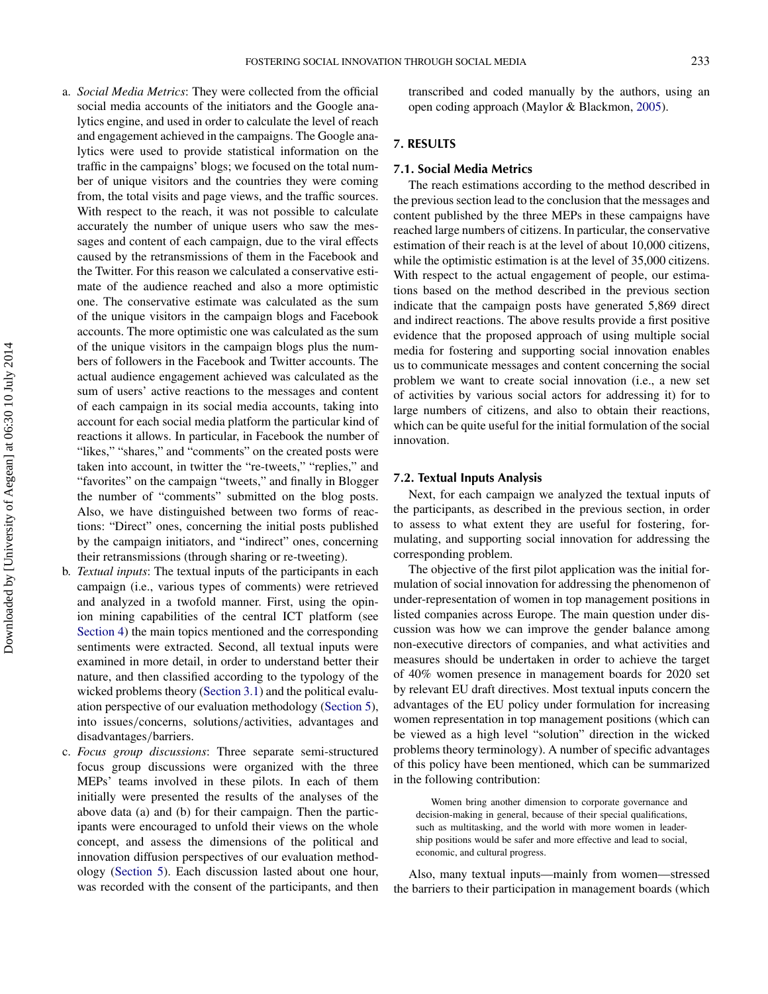- a. *Social Media Metrics*: They were collected from the official social media accounts of the initiators and the Google analytics engine, and used in order to calculate the level of reach and engagement achieved in the campaigns. The Google analytics were used to provide statistical information on the traffic in the campaigns' blogs; we focused on the total number of unique visitors and the countries they were coming from, the total visits and page views, and the traffic sources. With respect to the reach, it was not possible to calculate accurately the number of unique users who saw the messages and content of each campaign, due to the viral effects caused by the retransmissions of them in the Facebook and the Twitter. For this reason we calculated a conservative estimate of the audience reached and also a more optimistic one. The conservative estimate was calculated as the sum of the unique visitors in the campaign blogs and Facebook accounts. The more optimistic one was calculated as the sum of the unique visitors in the campaign blogs plus the numbers of followers in the Facebook and Twitter accounts. The actual audience engagement achieved was calculated as the sum of users' active reactions to the messages and content of each campaign in its social media accounts, taking into account for each social media platform the particular kind of reactions it allows. In particular, in Facebook the number of "likes," "shares," and "comments" on the created posts were taken into account, in twitter the "re-tweets," "replies," and "favorites" on the campaign "tweets," and finally in Blogger the number of "comments" submitted on the blog posts. Also, we have distinguished between two forms of reactions: "Direct" ones, concerning the initial posts published by the campaign initiators, and "indirect" ones, concerning their retransmissions (through sharing or re-tweeting).
- b. *Textual inputs*: The textual inputs of the participants in each campaign (i.e., various types of comments) were retrieved and analyzed in a twofold manner. First, using the opinion mining capabilities of the central ICT platform (see [Section 4\)](#page-5-1) the main topics mentioned and the corresponding sentiments were extracted. Second, all textual inputs were examined in more detail, in order to understand better their nature, and then classified according to the typology of the wicked problems theory [\(Section 3.1\)](#page-4-0) and the political evaluation perspective of our evaluation methodology [\(Section 5\)](#page-7-0), into issues*/*concerns, solutions*/*activities, advantages and disadvantages*/*barriers.
- c. *Focus group discussions*: Three separate semi-structured focus group discussions were organized with the three MEPs' teams involved in these pilots. In each of them initially were presented the results of the analyses of the above data (a) and (b) for their campaign. Then the participants were encouraged to unfold their views on the whole concept, and assess the dimensions of the political and innovation diffusion perspectives of our evaluation methodology [\(Section 5\)](#page-7-0). Each discussion lasted about one hour, was recorded with the consent of the participants, and then

transcribed and coded manually by the authors, using an open coding approach (Maylor & Blackmon, [2005\)](#page-15-24).

## <span id="page-9-0"></span>**7. RESULTS**

#### **7.1. Social Media Metrics**

The reach estimations according to the method described in the previous section lead to the conclusion that the messages and content published by the three MEPs in these campaigns have reached large numbers of citizens. In particular, the conservative estimation of their reach is at the level of about 10,000 citizens, while the optimistic estimation is at the level of 35,000 citizens. With respect to the actual engagement of people, our estimations based on the method described in the previous section indicate that the campaign posts have generated 5,869 direct and indirect reactions. The above results provide a first positive evidence that the proposed approach of using multiple social media for fostering and supporting social innovation enables us to communicate messages and content concerning the social problem we want to create social innovation (i.e., a new set of activities by various social actors for addressing it) for to large numbers of citizens, and also to obtain their reactions, which can be quite useful for the initial formulation of the social innovation.

### **7.2. Textual Inputs Analysis**

Next, for each campaign we analyzed the textual inputs of the participants, as described in the previous section, in order to assess to what extent they are useful for fostering, formulating, and supporting social innovation for addressing the corresponding problem.

The objective of the first pilot application was the initial formulation of social innovation for addressing the phenomenon of under-representation of women in top management positions in listed companies across Europe. The main question under discussion was how we can improve the gender balance among non-executive directors of companies, and what activities and measures should be undertaken in order to achieve the target of 40% women presence in management boards for 2020 set by relevant EU draft directives. Most textual inputs concern the advantages of the EU policy under formulation for increasing women representation in top management positions (which can be viewed as a high level "solution" direction in the wicked problems theory terminology). A number of specific advantages of this policy have been mentioned, which can be summarized in the following contribution:

Women bring another dimension to corporate governance and decision-making in general, because of their special qualifications, such as multitasking, and the world with more women in leadership positions would be safer and more effective and lead to social, economic, and cultural progress.

Also, many textual inputs—mainly from women—stressed the barriers to their participation in management boards (which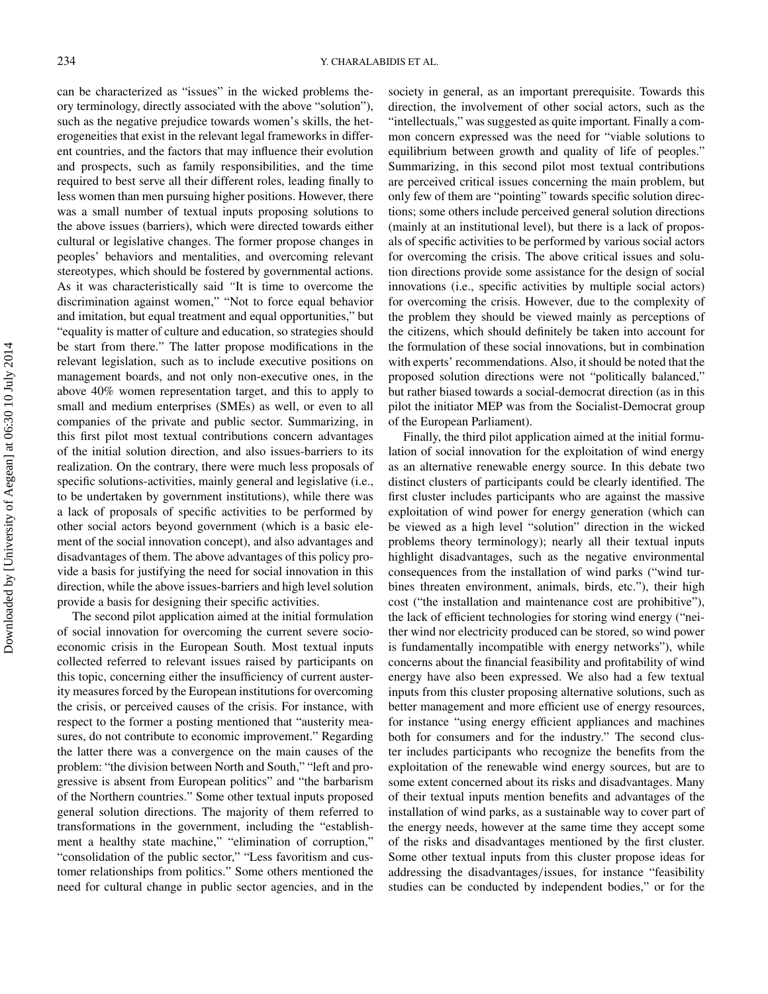can be characterized as "issues" in the wicked problems theory terminology, directly associated with the above "solution"), such as the negative prejudice towards women's skills, the heterogeneities that exist in the relevant legal frameworks in different countries, and the factors that may influence their evolution and prospects, such as family responsibilities, and the time required to best serve all their different roles, leading finally to less women than men pursuing higher positions. However, there was a small number of textual inputs proposing solutions to the above issues (barriers), which were directed towards either cultural or legislative changes. The former propose changes in peoples' behaviors and mentalities, and overcoming relevant stereotypes, which should be fostered by governmental actions. As it was characteristically said *"*It is time to overcome the discrimination against women," "Not to force equal behavior and imitation, but equal treatment and equal opportunities," but "equality is matter of culture and education, so strategies should be start from there." The latter propose modifications in the relevant legislation, such as to include executive positions on management boards, and not only non-executive ones, in the above 40% women representation target, and this to apply to small and medium enterprises (SMEs) as well, or even to all companies of the private and public sector. Summarizing, in this first pilot most textual contributions concern advantages of the initial solution direction, and also issues-barriers to its realization. On the contrary, there were much less proposals of specific solutions-activities, mainly general and legislative (i.e., to be undertaken by government institutions), while there was a lack of proposals of specific activities to be performed by other social actors beyond government (which is a basic element of the social innovation concept), and also advantages and disadvantages of them. The above advantages of this policy provide a basis for justifying the need for social innovation in this direction, while the above issues-barriers and high level solution provide a basis for designing their specific activities.

The second pilot application aimed at the initial formulation of social innovation for overcoming the current severe socioeconomic crisis in the European South. Most textual inputs collected referred to relevant issues raised by participants on this topic, concerning either the insufficiency of current austerity measures forced by the European institutions for overcoming the crisis, or perceived causes of the crisis. For instance, with respect to the former a posting mentioned that "austerity measures, do not contribute to economic improvement." Regarding the latter there was a convergence on the main causes of the problem: "the division between North and South," "left and progressive is absent from European politics" and "the barbarism of the Northern countries." Some other textual inputs proposed general solution directions. The majority of them referred to transformations in the government, including the "establishment a healthy state machine," "elimination of corruption," "consolidation of the public sector," "Less favoritism and customer relationships from politics." Some others mentioned the need for cultural change in public sector agencies, and in the

society in general, as an important prerequisite. Towards this direction, the involvement of other social actors, such as the "intellectuals," was suggested as quite important*.* Finally a common concern expressed was the need for "viable solutions to equilibrium between growth and quality of life of peoples." Summarizing, in this second pilot most textual contributions are perceived critical issues concerning the main problem, but only few of them are "pointing" towards specific solution directions; some others include perceived general solution directions (mainly at an institutional level), but there is a lack of proposals of specific activities to be performed by various social actors for overcoming the crisis. The above critical issues and solution directions provide some assistance for the design of social innovations (i.e., specific activities by multiple social actors) for overcoming the crisis. However, due to the complexity of the problem they should be viewed mainly as perceptions of the citizens, which should definitely be taken into account for the formulation of these social innovations, but in combination with experts' recommendations. Also, it should be noted that the proposed solution directions were not "politically balanced," but rather biased towards a social-democrat direction (as in this pilot the initiator MEP was from the Socialist-Democrat group of the European Parliament).

Finally, the third pilot application aimed at the initial formulation of social innovation for the exploitation of wind energy as an alternative renewable energy source. In this debate two distinct clusters of participants could be clearly identified. The first cluster includes participants who are against the massive exploitation of wind power for energy generation (which can be viewed as a high level "solution" direction in the wicked problems theory terminology); nearly all their textual inputs highlight disadvantages, such as the negative environmental consequences from the installation of wind parks ("wind turbines threaten environment, animals, birds, etc."), their high cost ("the installation and maintenance cost are prohibitive"), the lack of efficient technologies for storing wind energy ("neither wind nor electricity produced can be stored, so wind power is fundamentally incompatible with energy networks"), while concerns about the financial feasibility and profitability of wind energy have also been expressed. We also had a few textual inputs from this cluster proposing alternative solutions, such as better management and more efficient use of energy resources, for instance "using energy efficient appliances and machines both for consumers and for the industry." The second cluster includes participants who recognize the benefits from the exploitation of the renewable wind energy sources, but are to some extent concerned about its risks and disadvantages. Many of their textual inputs mention benefits and advantages of the installation of wind parks, as a sustainable way to cover part of the energy needs, however at the same time they accept some of the risks and disadvantages mentioned by the first cluster. Some other textual inputs from this cluster propose ideas for addressing the disadvantages*/*issues, for instance "feasibility studies can be conducted by independent bodies," or for the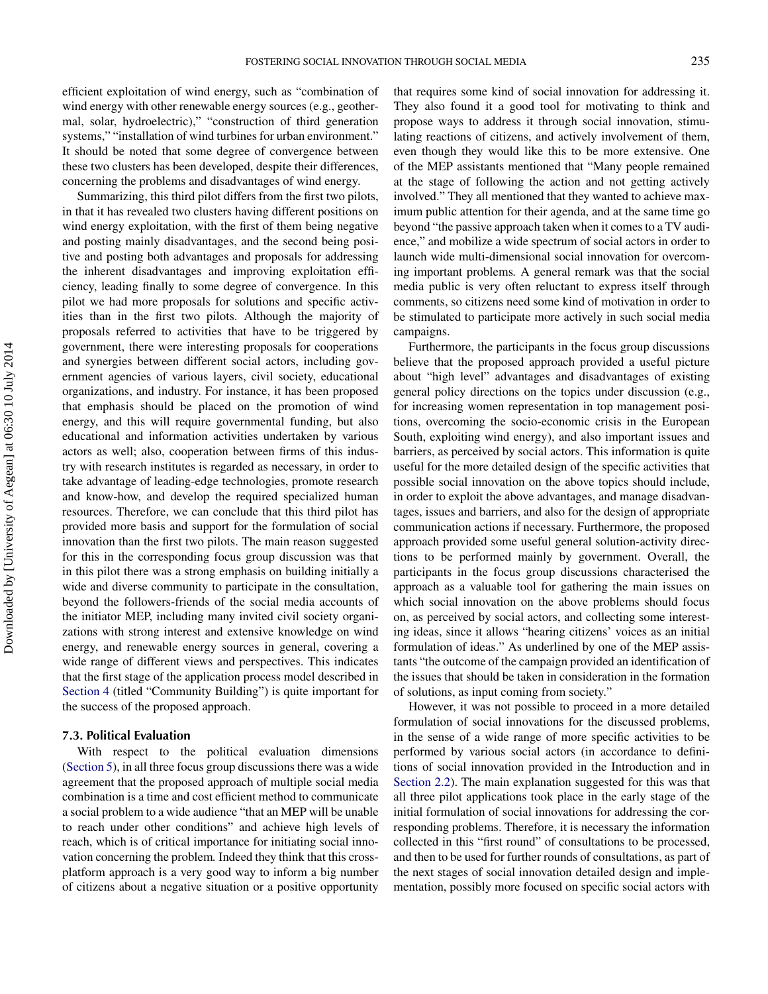efficient exploitation of wind energy, such as "combination of wind energy with other renewable energy sources (e.g., geothermal, solar, hydroelectric)," "construction of third generation systems," "installation of wind turbines for urban environment." It should be noted that some degree of convergence between these two clusters has been developed, despite their differences, concerning the problems and disadvantages of wind energy.

Summarizing, this third pilot differs from the first two pilots, in that it has revealed two clusters having different positions on wind energy exploitation, with the first of them being negative and posting mainly disadvantages, and the second being positive and posting both advantages and proposals for addressing the inherent disadvantages and improving exploitation efficiency, leading finally to some degree of convergence. In this pilot we had more proposals for solutions and specific activities than in the first two pilots. Although the majority of proposals referred to activities that have to be triggered by government, there were interesting proposals for cooperations and synergies between different social actors, including government agencies of various layers, civil society, educational organizations, and industry. For instance, it has been proposed that emphasis should be placed on the promotion of wind energy, and this will require governmental funding, but also educational and information activities undertaken by various actors as well; also, cooperation between firms of this industry with research institutes is regarded as necessary, in order to take advantage of leading-edge technologies, promote research and know-how, and develop the required specialized human resources. Therefore, we can conclude that this third pilot has provided more basis and support for the formulation of social innovation than the first two pilots. The main reason suggested for this in the corresponding focus group discussion was that in this pilot there was a strong emphasis on building initially a wide and diverse community to participate in the consultation, beyond the followers-friends of the social media accounts of the initiator MEP, including many invited civil society organizations with strong interest and extensive knowledge on wind energy, and renewable energy sources in general, covering a wide range of different views and perspectives. This indicates that the first stage of the application process model described in [Section 4](#page-5-1) (titled "Community Building") is quite important for the success of the proposed approach.

#### **7.3. Political Evaluation**

With respect to the political evaluation dimensions [\(Section 5\)](#page-7-0), in all three focus group discussions there was a wide agreement that the proposed approach of multiple social media combination is a time and cost efficient method to communicate a social problem to a wide audience "that an MEP will be unable to reach under other conditions" and achieve high levels of reach, which is of critical importance for initiating social innovation concerning the problem*.* Indeed they think that this crossplatform approach is a very good way to inform a big number of citizens about a negative situation or a positive opportunity

that requires some kind of social innovation for addressing it. They also found it a good tool for motivating to think and propose ways to address it through social innovation, stimulating reactions of citizens, and actively involvement of them, even though they would like this to be more extensive. One of the MEP assistants mentioned that "Many people remained at the stage of following the action and not getting actively involved." They all mentioned that they wanted to achieve maximum public attention for their agenda, and at the same time go beyond "the passive approach taken when it comes to a TV audience," and mobilize a wide spectrum of social actors in order to launch wide multi-dimensional social innovation for overcoming important problems*.* A general remark was that the social media public is very often reluctant to express itself through comments, so citizens need some kind of motivation in order to be stimulated to participate more actively in such social media campaigns.

Furthermore, the participants in the focus group discussions believe that the proposed approach provided a useful picture about "high level" advantages and disadvantages of existing general policy directions on the topics under discussion (e.g., for increasing women representation in top management positions, overcoming the socio-economic crisis in the European South, exploiting wind energy), and also important issues and barriers, as perceived by social actors. This information is quite useful for the more detailed design of the specific activities that possible social innovation on the above topics should include, in order to exploit the above advantages, and manage disadvantages, issues and barriers, and also for the design of appropriate communication actions if necessary. Furthermore, the proposed approach provided some useful general solution-activity directions to be performed mainly by government. Overall, the participants in the focus group discussions characterised the approach as a valuable tool for gathering the main issues on which social innovation on the above problems should focus on, as perceived by social actors, and collecting some interesting ideas, since it allows "hearing citizens' voices as an initial formulation of ideas." As underlined by one of the MEP assistants "the outcome of the campaign provided an identification of the issues that should be taken in consideration in the formation of solutions, as input coming from society."

However, it was not possible to proceed in a more detailed formulation of social innovations for the discussed problems, in the sense of a wide range of more specific activities to be performed by various social actors (in accordance to definitions of social innovation provided in the Introduction and in [Section 2.2\)](#page-3-0). The main explanation suggested for this was that all three pilot applications took place in the early stage of the initial formulation of social innovations for addressing the corresponding problems. Therefore, it is necessary the information collected in this "first round" of consultations to be processed, and then to be used for further rounds of consultations, as part of the next stages of social innovation detailed design and implementation, possibly more focused on specific social actors with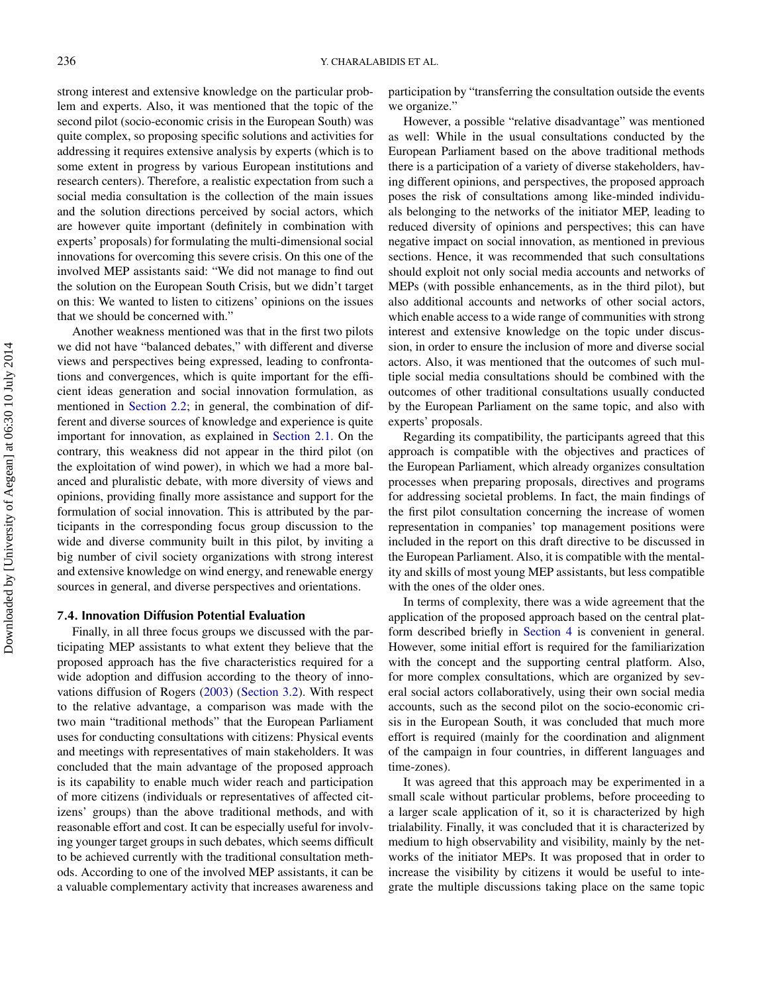strong interest and extensive knowledge on the particular problem and experts. Also, it was mentioned that the topic of the second pilot (socio-economic crisis in the European South) was quite complex, so proposing specific solutions and activities for addressing it requires extensive analysis by experts (which is to some extent in progress by various European institutions and research centers). Therefore, a realistic expectation from such a social media consultation is the collection of the main issues and the solution directions perceived by social actors, which are however quite important (definitely in combination with experts' proposals) for formulating the multi-dimensional social innovations for overcoming this severe crisis. On this one of the involved MEP assistants said: "We did not manage to find out the solution on the European South Crisis, but we didn't target on this: We wanted to listen to citizens' opinions on the issues that we should be concerned with."

Another weakness mentioned was that in the first two pilots we did not have "balanced debates," with different and diverse views and perspectives being expressed, leading to confrontations and convergences, which is quite important for the efficient ideas generation and social innovation formulation, as mentioned in [Section 2.2;](#page-3-0) in general, the combination of different and diverse sources of knowledge and experience is quite important for innovation, as explained in [Section 2.1.](#page-2-1) On the contrary, this weakness did not appear in the third pilot (on the exploitation of wind power), in which we had a more balanced and pluralistic debate, with more diversity of views and opinions, providing finally more assistance and support for the formulation of social innovation. This is attributed by the participants in the corresponding focus group discussion to the wide and diverse community built in this pilot, by inviting a big number of civil society organizations with strong interest and extensive knowledge on wind energy, and renewable energy sources in general, and diverse perspectives and orientations.

#### **7.4. Innovation Diffusion Potential Evaluation**

Finally, in all three focus groups we discussed with the participating MEP assistants to what extent they believe that the proposed approach has the five characteristics required for a wide adoption and diffusion according to the theory of innovations diffusion of Rogers [\(2003\)](#page-15-9) [\(Section 3.2\)](#page-5-0). With respect to the relative advantage, a comparison was made with the two main "traditional methods" that the European Parliament uses for conducting consultations with citizens: Physical events and meetings with representatives of main stakeholders. It was concluded that the main advantage of the proposed approach is its capability to enable much wider reach and participation of more citizens (individuals or representatives of affected citizens' groups) than the above traditional methods, and with reasonable effort and cost. It can be especially useful for involving younger target groups in such debates, which seems difficult to be achieved currently with the traditional consultation methods. According to one of the involved MEP assistants, it can be a valuable complementary activity that increases awareness and

participation by "transferring the consultation outside the events we organize.'

However, a possible "relative disadvantage" was mentioned as well: While in the usual consultations conducted by the European Parliament based on the above traditional methods there is a participation of a variety of diverse stakeholders, having different opinions, and perspectives, the proposed approach poses the risk of consultations among like-minded individuals belonging to the networks of the initiator MEP, leading to reduced diversity of opinions and perspectives; this can have negative impact on social innovation, as mentioned in previous sections. Hence, it was recommended that such consultations should exploit not only social media accounts and networks of MEPs (with possible enhancements, as in the third pilot), but also additional accounts and networks of other social actors, which enable access to a wide range of communities with strong interest and extensive knowledge on the topic under discussion, in order to ensure the inclusion of more and diverse social actors. Also, it was mentioned that the outcomes of such multiple social media consultations should be combined with the outcomes of other traditional consultations usually conducted by the European Parliament on the same topic, and also with experts' proposals.

Regarding its compatibility, the participants agreed that this approach is compatible with the objectives and practices of the European Parliament, which already organizes consultation processes when preparing proposals, directives and programs for addressing societal problems. In fact, the main findings of the first pilot consultation concerning the increase of women representation in companies' top management positions were included in the report on this draft directive to be discussed in the European Parliament. Also, it is compatible with the mentality and skills of most young MEP assistants, but less compatible with the ones of the older ones.

In terms of complexity, there was a wide agreement that the application of the proposed approach based on the central platform described briefly in [Section 4](#page-5-1) is convenient in general. However, some initial effort is required for the familiarization with the concept and the supporting central platform. Also, for more complex consultations, which are organized by several social actors collaboratively, using their own social media accounts, such as the second pilot on the socio-economic crisis in the European South, it was concluded that much more effort is required (mainly for the coordination and alignment of the campaign in four countries, in different languages and time-zones).

It was agreed that this approach may be experimented in a small scale without particular problems, before proceeding to a larger scale application of it, so it is characterized by high trialability. Finally, it was concluded that it is characterized by medium to high observability and visibility, mainly by the networks of the initiator MEPs. It was proposed that in order to increase the visibility by citizens it would be useful to integrate the multiple discussions taking place on the same topic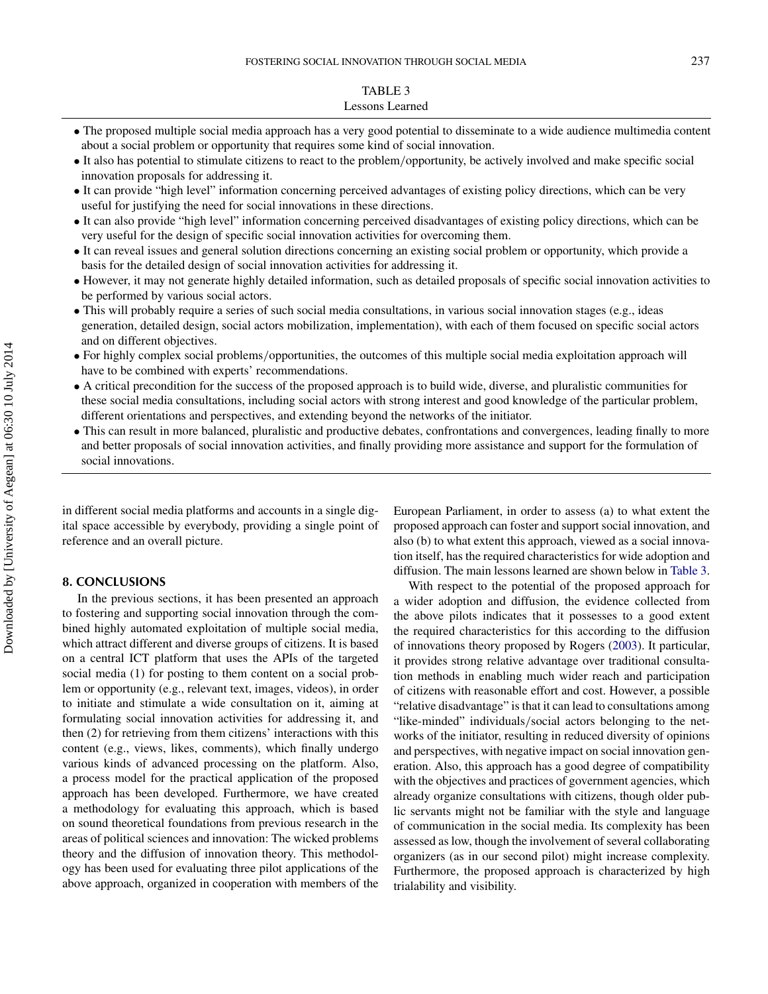## <span id="page-13-1"></span>TABLE 3 Lessons Learned

- The proposed multiple social media approach has a very good potential to disseminate to a wide audience multimedia content about a social problem or opportunity that requires some kind of social innovation.
- It also has potential to stimulate citizens to react to the problem*/*opportunity, be actively involved and make specific social innovation proposals for addressing it.
- It can provide "high level" information concerning perceived advantages of existing policy directions, which can be very useful for justifying the need for social innovations in these directions.
- It can also provide "high level" information concerning perceived disadvantages of existing policy directions, which can be very useful for the design of specific social innovation activities for overcoming them.
- It can reveal issues and general solution directions concerning an existing social problem or opportunity, which provide a basis for the detailed design of social innovation activities for addressing it.
- However, it may not generate highly detailed information, such as detailed proposals of specific social innovation activities to be performed by various social actors.
- This will probably require a series of such social media consultations, in various social innovation stages (e.g., ideas generation, detailed design, social actors mobilization, implementation), with each of them focused on specific social actors and on different objectives.
- For highly complex social problems*/*opportunities, the outcomes of this multiple social media exploitation approach will have to be combined with experts' recommendations.
- A critical precondition for the success of the proposed approach is to build wide, diverse, and pluralistic communities for these social media consultations, including social actors with strong interest and good knowledge of the particular problem, different orientations and perspectives, and extending beyond the networks of the initiator.
- This can result in more balanced, pluralistic and productive debates, confrontations and convergences, leading finally to more and better proposals of social innovation activities, and finally providing more assistance and support for the formulation of social innovations.

in different social media platforms and accounts in a single digital space accessible by everybody, providing a single point of reference and an overall picture.

#### **8. CONCLUSIONS**

<span id="page-13-0"></span>In the previous sections, it has been presented an approach to fostering and supporting social innovation through the combined highly automated exploitation of multiple social media, which attract different and diverse groups of citizens. It is based on a central ICT platform that uses the APIs of the targeted social media (1) for posting to them content on a social problem or opportunity (e.g., relevant text, images, videos), in order to initiate and stimulate a wide consultation on it, aiming at formulating social innovation activities for addressing it, and then (2) for retrieving from them citizens' interactions with this content (e.g., views, likes, comments), which finally undergo various kinds of advanced processing on the platform. Also, a process model for the practical application of the proposed approach has been developed. Furthermore, we have created a methodology for evaluating this approach, which is based on sound theoretical foundations from previous research in the areas of political sciences and innovation: The wicked problems theory and the diffusion of innovation theory. This methodology has been used for evaluating three pilot applications of the above approach, organized in cooperation with members of the

European Parliament, in order to assess (a) to what extent the proposed approach can foster and support social innovation, and also (b) to what extent this approach, viewed as a social innovation itself, has the required characteristics for wide adoption and diffusion. The main lessons learned are shown below in [Table 3.](#page-13-1)

With respect to the potential of the proposed approach for a wider adoption and diffusion, the evidence collected from the above pilots indicates that it possesses to a good extent the required characteristics for this according to the diffusion of innovations theory proposed by Rogers [\(2003\)](#page-15-9). It particular, it provides strong relative advantage over traditional consultation methods in enabling much wider reach and participation of citizens with reasonable effort and cost. However, a possible "relative disadvantage" is that it can lead to consultations among "like-minded" individuals*/*social actors belonging to the networks of the initiator, resulting in reduced diversity of opinions and perspectives, with negative impact on social innovation generation. Also, this approach has a good degree of compatibility with the objectives and practices of government agencies, which already organize consultations with citizens, though older public servants might not be familiar with the style and language of communication in the social media. Its complexity has been assessed as low, though the involvement of several collaborating organizers (as in our second pilot) might increase complexity. Furthermore, the proposed approach is characterized by high trialability and visibility.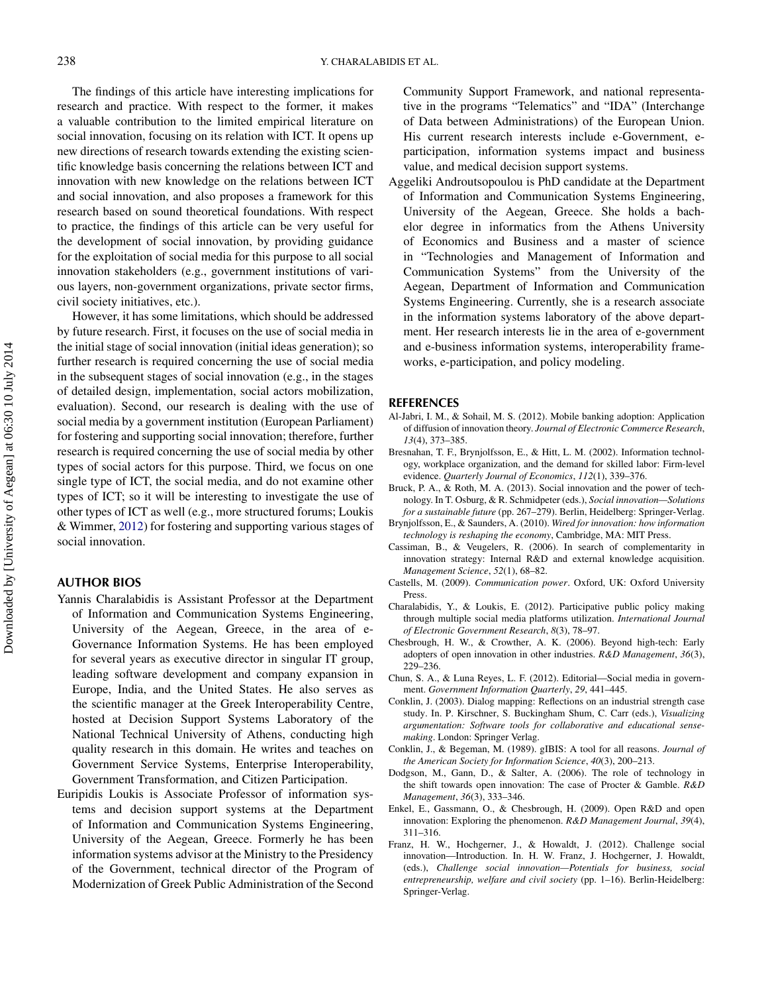The findings of this article have interesting implications for research and practice. With respect to the former, it makes a valuable contribution to the limited empirical literature on social innovation, focusing on its relation with ICT. It opens up new directions of research towards extending the existing scientific knowledge basis concerning the relations between ICT and innovation with new knowledge on the relations between ICT and social innovation, and also proposes a framework for this research based on sound theoretical foundations. With respect to practice, the findings of this article can be very useful for the development of social innovation, by providing guidance for the exploitation of social media for this purpose to all social innovation stakeholders (e.g., government institutions of various layers, non-government organizations, private sector firms, civil society initiatives, etc.).

However, it has some limitations, which should be addressed by future research. First, it focuses on the use of social media in the initial stage of social innovation (initial ideas generation); so further research is required concerning the use of social media in the subsequent stages of social innovation (e.g., in the stages of detailed design, implementation, social actors mobilization, evaluation). Second, our research is dealing with the use of social media by a government institution (European Parliament) for fostering and supporting social innovation; therefore, further research is required concerning the use of social media by other types of social actors for this purpose. Third, we focus on one single type of ICT, the social media, and do not examine other types of ICT; so it will be interesting to investigate the use of other types of ICT as well (e.g., more structured forums; Loukis & Wimmer, [2012\)](#page-15-27) for fostering and supporting various stages of social innovation.

### **AUTHOR BIOS**

- Yannis Charalabidis is Assistant Professor at the Department of Information and Communication Systems Engineering, University of the Aegean, Greece, in the area of e-Governance Information Systems. He has been employed for several years as executive director in singular IT group, leading software development and company expansion in Europe, India, and the United States. He also serves as the scientific manager at the Greek Interoperability Centre, hosted at Decision Support Systems Laboratory of the National Technical University of Athens, conducting high quality research in this domain. He writes and teaches on Government Service Systems, Enterprise Interoperability, Government Transformation, and Citizen Participation.
- Euripidis Loukis is Associate Professor of information systems and decision support systems at the Department of Information and Communication Systems Engineering, University of the Aegean, Greece. Formerly he has been information systems advisor at the Ministry to the Presidency of the Government, technical director of the Program of Modernization of Greek Public Administration of the Second

Community Support Framework, and national representative in the programs "Telematics" and "IDA" (Interchange of Data between Administrations) of the European Union. His current research interests include e-Government, eparticipation, information systems impact and business value, and medical decision support systems.

Aggeliki Androutsopoulou is PhD candidate at the Department of Information and Communication Systems Engineering, University of the Aegean, Greece. She holds a bachelor degree in informatics from the Athens University of Economics and Business and a master of science in "Technologies and Management of Information and Communication Systems" from the University of the Aegean, Department of Information and Communication Systems Engineering. Currently, she is a research associate in the information systems laboratory of the above department. Her research interests lie in the area of e-government and e-business information systems, interoperability frameworks, e-participation, and policy modeling.

#### **REFERENCES**

- <span id="page-14-12"></span>Al-Jabri, I. M., & Sohail, M. S. (2012). Mobile banking adoption: Application of diffusion of innovation theory. *Journal of Electronic Commerce Research*, *13*(4), 373–385.
- <span id="page-14-7"></span>Bresnahan, T. F., Brynjolfsson, E., & Hitt, L. M. (2002). Information technology, workplace organization, and the demand for skilled labor: Firm-level evidence. *Quarterly Journal of Economics*, *112*(1), 339–376.
- <span id="page-14-8"></span>Bruck, P. A., & Roth, M. A. (2013). Social innovation and the power of technology. In T. Osburg, & R. Schmidpeter (eds.), *Social innovation—Solutions for a sustainable future* (pp. 267–279). Berlin, Heidelberg: Springer-Verlag.
- <span id="page-14-1"></span>Brynjolfsson, E., & Saunders, A. (2010). *Wired for innovation: how information technology is reshaping the economy*, Cambridge, MA: MIT Press.
- <span id="page-14-4"></span>Cassiman, B., & Veugelers, R. (2006). In search of complementarity in innovation strategy: Internal R&D and external knowledge acquisition. *Management Science*, *52*(1), 68–82.
- <span id="page-14-9"></span>Castells, M. (2009). *Communication power*. Oxford, UK: Oxford University Press.
- <span id="page-14-13"></span>Charalabidis, Y., & Loukis, E. (2012). Participative public policy making through multiple social media platforms utilization. *International Journal of Electronic Government Research*, *8*(3), 78–97.
- <span id="page-14-5"></span>Chesbrough, H. W., & Crowther, A. K. (2006). Beyond high-tech: Early adopters of open innovation in other industries. *R&D Management*, *36*(3), 229–236.
- <span id="page-14-3"></span>Chun, S. A., & Luna Reyes, L. F. (2012). Editorial—Social media in government. *Government Information Quarterly*, *29*, 441–445.
- <span id="page-14-11"></span>Conklin, J. (2003). Dialog mapping: Reflections on an industrial strength case study. In. P. Kirschner, S. Buckingham Shum, C. Carr (eds.), *Visualizing argumentation: Software tools for collaborative and educational sensemaking*. London: Springer Verlag.
- <span id="page-14-10"></span>Conklin, J., & Begeman, M. (1989). gIBIS: A tool for all reasons. *Journal of the American Society for Information Science*, *40*(3), 200–213.
- <span id="page-14-0"></span>Dodgson, M., Gann, D., & Salter, A. (2006). The role of technology in the shift towards open innovation: The case of Procter & Gamble. *R&D Management*, *36*(3), 333–346.
- <span id="page-14-6"></span>Enkel, E., Gassmann, O., & Chesbrough, H. (2009). Open R&D and open innovation: Exploring the phenomenon. *R&D Management Journal*, *39*(4), 311–316.
- <span id="page-14-2"></span>Franz, H. W., Hochgerner, J., & Howaldt, J. (2012). Challenge social innovation—Introduction. In. H. W. Franz, J. Hochgerner, J. Howaldt, (eds.), *Challenge social innovation—Potentials for business, social entrepreneurship, welfare and civil society* (pp. 1–16). Berlin-Heidelberg: Springer-Verlag.